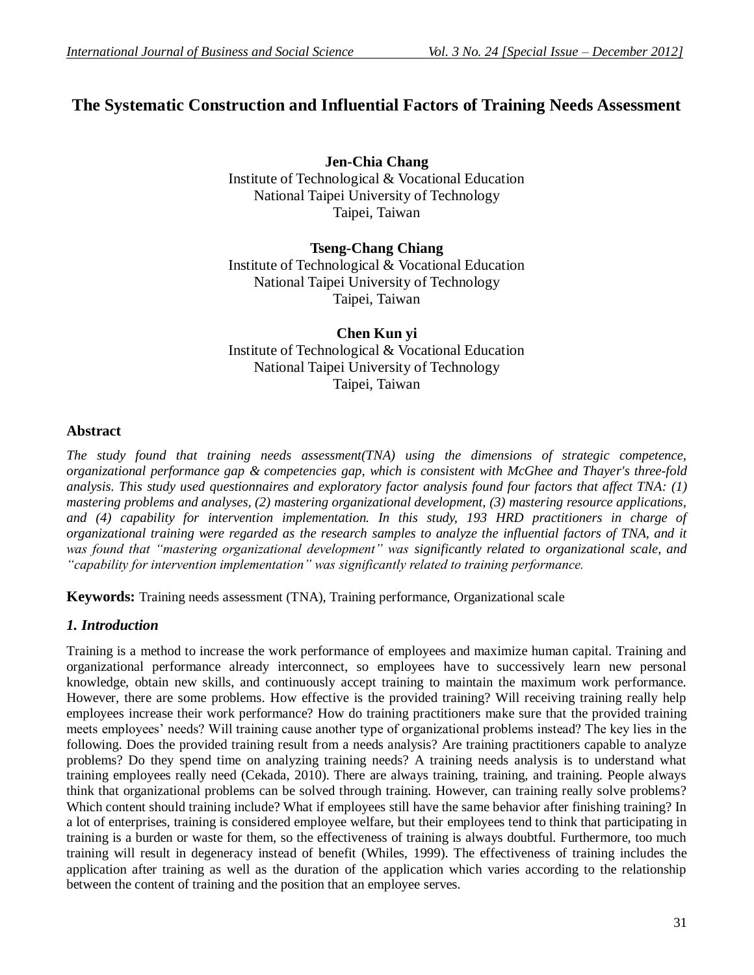# **The Systematic Construction and Influential Factors of Training Needs Assessment**

**Jen-Chia Chang** Institute of Technological & Vocational Education National Taipei University of Technology Taipei, Taiwan

### **Tseng-Chang Chiang** Institute of Technological & Vocational Education National Taipei University of Technology Taipei, Taiwan

**Chen Kun yi** Institute of Technological & Vocational Education National Taipei University of Technology Taipei, Taiwan

#### **Abstract**

*The study found that training needs assessment(TNA) using the dimensions of strategic competence, organizational performance gap & competencies gap, which is consistent with McGhee and Thayer's three-fold analysis. This study used questionnaires and exploratory factor analysis found four factors that affect TNA: (1) mastering problems and analyses, (2) mastering organizational development, (3) mastering resource applications, and (4) capability for intervention implementation. In this study, 193 HRD practitioners in charge of organizational training were regarded as the research samples to analyze the influential factors of TNA, and it was found that "mastering organizational development" was significantly related to organizational scale, and "capability for intervention implementation" was significantly related to training performance.* 

**Keywords:** Training needs assessment (TNA), Training performance, Organizational scale

#### *1. Introduction*

Training is a method to increase the work performance of employees and maximize human capital. Training and organizational performance already interconnect, so employees have to successively learn new personal knowledge, obtain new skills, and continuously accept training to maintain the maximum work performance. However, there are some problems. How effective is the provided training? Will receiving training really help employees increase their work performance? How do training practitioners make sure that the provided training meets employees' needs? Will training cause another type of organizational problems instead? The key lies in the following. Does the provided training result from a needs analysis? Are training practitioners capable to analyze problems? Do they spend time on analyzing training needs? A training needs analysis is to understand what training employees really need (Cekada, 2010). There are always training, training, and training. People always think that organizational problems can be solved through training. However, can training really solve problems? Which content should training include? What if employees still have the same behavior after finishing training? In a lot of enterprises, training is considered employee welfare, but their employees tend to think that participating in training is a burden or waste for them, so the effectiveness of training is always doubtful. Furthermore, too much training will result in degeneracy instead of benefit (Whiles, 1999). The effectiveness of training includes the application after training as well as the duration of the application which varies according to the relationship between the content of training and the position that an employee serves.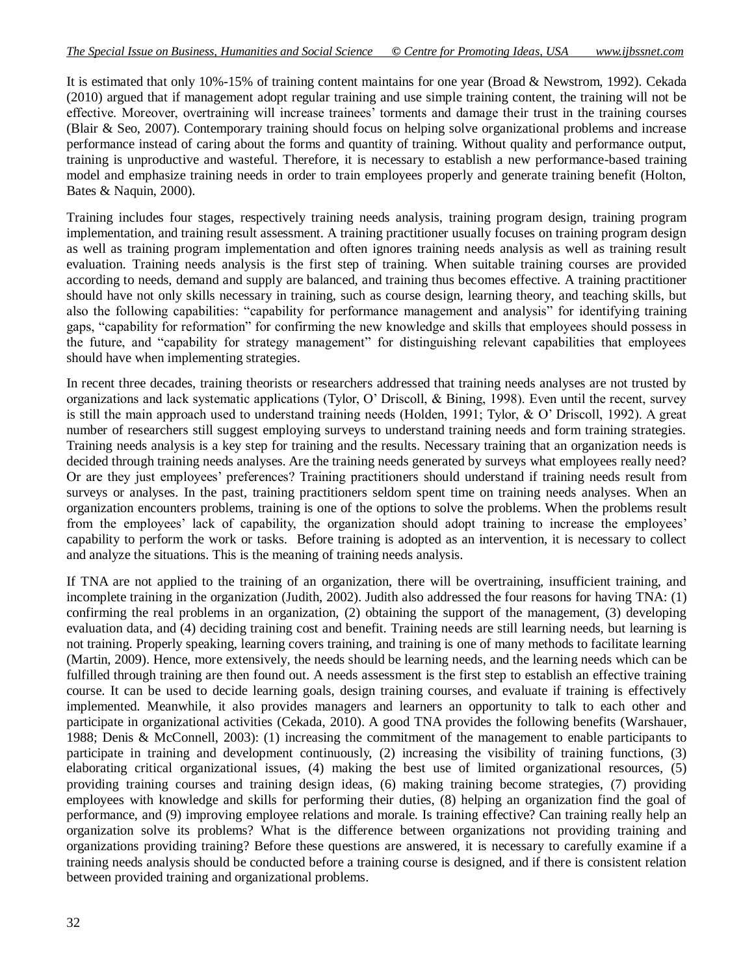It is estimated that only 10%-15% of training content maintains for one year (Broad & Newstrom, 1992). Cekada (2010) argued that if management adopt regular training and use simple training content, the training will not be effective. Moreover, overtraining will increase trainees' torments and damage their trust in the training courses (Blair & Seo, 2007). Contemporary training should focus on helping solve organizational problems and increase performance instead of caring about the forms and quantity of training. Without quality and performance output, training is unproductive and wasteful. Therefore, it is necessary to establish a new performance-based training model and emphasize training needs in order to train employees properly and generate training benefit (Holton, Bates & Naquin, 2000).

Training includes four stages, respectively training needs analysis, training program design, training program implementation, and training result assessment. A training practitioner usually focuses on training program design as well as training program implementation and often ignores training needs analysis as well as training result evaluation. Training needs analysis is the first step of training. When suitable training courses are provided according to needs, demand and supply are balanced, and training thus becomes effective. A training practitioner should have not only skills necessary in training, such as course design, learning theory, and teaching skills, but also the following capabilities: "capability for performance management and analysis" for identifying training gaps, "capability for reformation" for confirming the new knowledge and skills that employees should possess in the future, and "capability for strategy management" for distinguishing relevant capabilities that employees should have when implementing strategies.

In recent three decades, training theorists or researchers addressed that training needs analyses are not trusted by organizations and lack systematic applications (Tylor, O' Driscoll, & Bining, 1998). Even until the recent, survey is still the main approach used to understand training needs (Holden, 1991; Tylor, & O' Driscoll, 1992). A great number of researchers still suggest employing surveys to understand training needs and form training strategies. Training needs analysis is a key step for training and the results. Necessary training that an organization needs is decided through training needs analyses. Are the training needs generated by surveys what employees really need? Or are they just employees' preferences? Training practitioners should understand if training needs result from surveys or analyses. In the past, training practitioners seldom spent time on training needs analyses. When an organization encounters problems, training is one of the options to solve the problems. When the problems result from the employees' lack of capability, the organization should adopt training to increase the employees' capability to perform the work or tasks. Before training is adopted as an intervention, it is necessary to collect and analyze the situations. This is the meaning of training needs analysis.

If TNA are not applied to the training of an organization, there will be overtraining, insufficient training, and incomplete training in the organization (Judith, 2002). Judith also addressed the four reasons for having TNA: (1) confirming the real problems in an organization, (2) obtaining the support of the management, (3) developing evaluation data, and (4) deciding training cost and benefit. Training needs are still learning needs, but learning is not training. Properly speaking, learning covers training, and training is one of many methods to facilitate learning (Martin, 2009). Hence, more extensively, the needs should be learning needs, and the learning needs which can be fulfilled through training are then found out. A needs assessment is the first step to establish an effective training course. It can be used to decide learning goals, design training courses, and evaluate if training is effectively implemented. Meanwhile, it also provides managers and learners an opportunity to talk to each other and participate in organizational activities (Cekada, 2010). A good TNA provides the following benefits (Warshauer, 1988; Denis & McConnell, 2003): (1) increasing the commitment of the management to enable participants to participate in training and development continuously, (2) increasing the visibility of training functions, (3) elaborating critical organizational issues, (4) making the best use of limited organizational resources, (5) providing training courses and training design ideas, (6) making training become strategies, (7) providing employees with knowledge and skills for performing their duties, (8) helping an organization find the goal of performance, and (9) improving employee relations and morale. Is training effective? Can training really help an organization solve its problems? What is the difference between organizations not providing training and organizations providing training? Before these questions are answered, it is necessary to carefully examine if a training needs analysis should be conducted before a training course is designed, and if there is consistent relation between provided training and organizational problems.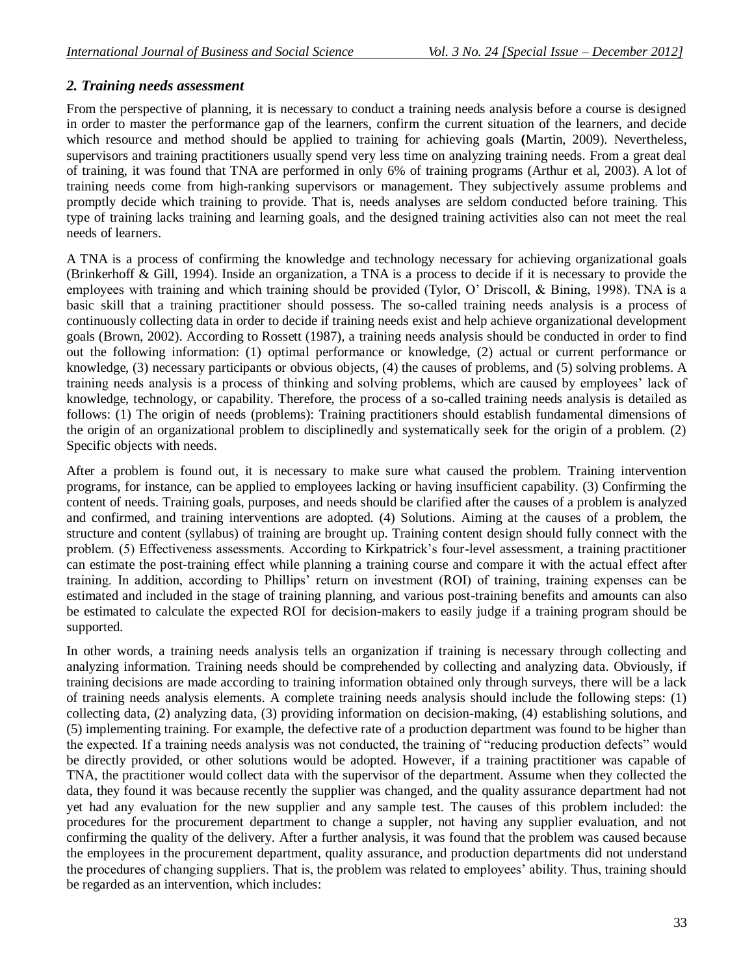## *2. Training needs assessment*

From the perspective of planning, it is necessary to conduct a training needs analysis before a course is designed in order to master the performance gap of the learners, confirm the current situation of the learners, and decide which resource and method should be applied to training for achieving goals **(**Martin, 2009). Nevertheless, supervisors and training practitioners usually spend very less time on analyzing training needs. From a great deal of training, it was found that TNA are performed in only 6% of training programs (Arthur et al, 2003). A lot of training needs come from high-ranking supervisors or management. They subjectively assume problems and promptly decide which training to provide. That is, needs analyses are seldom conducted before training. This type of training lacks training and learning goals, and the designed training activities also can not meet the real needs of learners.

A TNA is a process of confirming the knowledge and technology necessary for achieving organizational goals (Brinkerhoff & Gill, 1994). Inside an organization, a TNA is a process to decide if it is necessary to provide the employees with training and which training should be provided (Tylor, O' Driscoll, & Bining, 1998). TNA is a basic skill that a training practitioner should possess. The so-called training needs analysis is a process of continuously collecting data in order to decide if training needs exist and help achieve organizational development goals (Brown, 2002). According to Rossett (1987), a training needs analysis should be conducted in order to find out the following information: (1) optimal performance or knowledge, (2) actual or current performance or knowledge, (3) necessary participants or obvious objects, (4) the causes of problems, and (5) solving problems. A training needs analysis is a process of thinking and solving problems, which are caused by employees' lack of knowledge, technology, or capability. Therefore, the process of a so-called training needs analysis is detailed as follows: (1) The origin of needs (problems): Training practitioners should establish fundamental dimensions of the origin of an organizational problem to disciplinedly and systematically seek for the origin of a problem. (2) Specific objects with needs.

After a problem is found out, it is necessary to make sure what caused the problem. Training intervention programs, for instance, can be applied to employees lacking or having insufficient capability. (3) Confirming the content of needs. Training goals, purposes, and needs should be clarified after the causes of a problem is analyzed and confirmed, and training interventions are adopted. (4) Solutions. Aiming at the causes of a problem, the structure and content (syllabus) of training are brought up. Training content design should fully connect with the problem. (5) Effectiveness assessments. According to Kirkpatrick's four-level assessment, a training practitioner can estimate the post-training effect while planning a training course and compare it with the actual effect after training. In addition, according to Phillips' return on investment (ROI) of training, training expenses can be estimated and included in the stage of training planning, and various post-training benefits and amounts can also be estimated to calculate the expected ROI for decision-makers to easily judge if a training program should be supported.

In other words, a training needs analysis tells an organization if training is necessary through collecting and analyzing information. Training needs should be comprehended by collecting and analyzing data. Obviously, if training decisions are made according to training information obtained only through surveys, there will be a lack of training needs analysis elements. A complete training needs analysis should include the following steps: (1) collecting data, (2) analyzing data, (3) providing information on decision-making, (4) establishing solutions, and (5) implementing training. For example, the defective rate of a production department was found to be higher than the expected. If a training needs analysis was not conducted, the training of "reducing production defects" would be directly provided, or other solutions would be adopted. However, if a training practitioner was capable of TNA, the practitioner would collect data with the supervisor of the department. Assume when they collected the data, they found it was because recently the supplier was changed, and the quality assurance department had not yet had any evaluation for the new supplier and any sample test. The causes of this problem included: the procedures for the procurement department to change a suppler, not having any supplier evaluation, and not confirming the quality of the delivery. After a further analysis, it was found that the problem was caused because the employees in the procurement department, quality assurance, and production departments did not understand the procedures of changing suppliers. That is, the problem was related to employees' ability. Thus, training should be regarded as an intervention, which includes: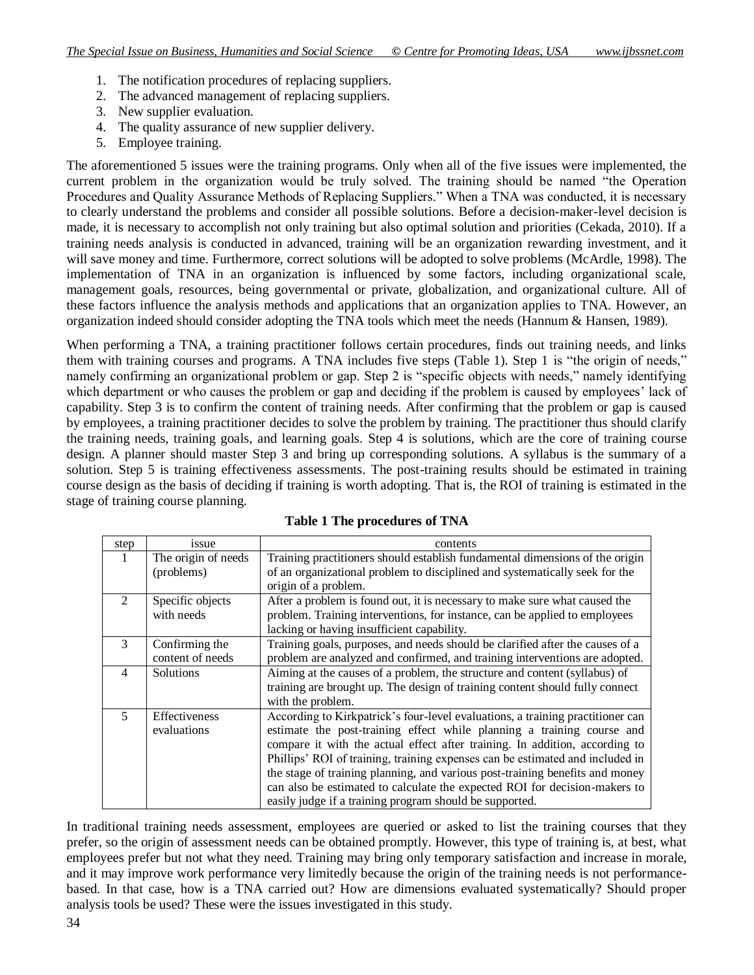- 1. The notification procedures of replacing suppliers.
- 2. The advanced management of replacing suppliers.
- 3. New supplier evaluation.
- 4. The quality assurance of new supplier delivery.
- 5. Employee training.

The aforementioned 5 issues were the training programs. Only when all of the five issues were implemented, the current problem in the organization would be truly solved. The training should be named "the Operation Procedures and Quality Assurance Methods of Replacing Suppliers." When a TNA was conducted, it is necessary to clearly understand the problems and consider all possible solutions. Before a decision-maker-level decision is made, it is necessary to accomplish not only training but also optimal solution and priorities (Cekada, 2010). If a training needs analysis is conducted in advanced, training will be an organization rewarding investment, and it will save money and time. Furthermore, correct solutions will be adopted to solve problems (McArdle, 1998). The implementation of TNA in an organization is influenced by some factors, including organizational scale, management goals, resources, being governmental or private, globalization, and organizational culture. All of these factors influence the analysis methods and applications that an organization applies to TNA. However, an organization indeed should consider adopting the TNA tools which meet the needs (Hannum & Hansen, 1989).

When performing a TNA, a training practitioner follows certain procedures, finds out training needs, and links them with training courses and programs. A TNA includes five steps (Table 1). Step 1 is "the origin of needs," namely confirming an organizational problem or gap. Step 2 is "specific objects with needs," namely identifying which department or who causes the problem or gap and deciding if the problem is caused by employees' lack of capability. Step 3 is to confirm the content of training needs. After confirming that the problem or gap is caused by employees, a training practitioner decides to solve the problem by training. The practitioner thus should clarify the training needs, training goals, and learning goals. Step 4 is solutions, which are the core of training course design. A planner should master Step 3 and bring up corresponding solutions. A syllabus is the summary of a solution. Step 5 is training effectiveness assessments. The post-training results should be estimated in training course design as the basis of deciding if training is worth adopting. That is, the ROI of training is estimated in the stage of training course planning.

| step                        | issue               | contents                                                                       |
|-----------------------------|---------------------|--------------------------------------------------------------------------------|
| 1                           | The origin of needs | Training practitioners should establish fundamental dimensions of the origin   |
|                             | (problems)          | of an organizational problem to disciplined and systematically seek for the    |
|                             |                     | origin of a problem.                                                           |
| $\mathcal{D}_{\mathcal{L}}$ | Specific objects    | After a problem is found out, it is necessary to make sure what caused the     |
|                             | with needs          | problem. Training interventions, for instance, can be applied to employees     |
|                             |                     | lacking or having insufficient capability.                                     |
| 3                           | Confirming the      | Training goals, purposes, and needs should be clarified after the causes of a  |
|                             | content of needs    | problem are analyzed and confirmed, and training interventions are adopted.    |
| $\overline{4}$              | <b>Solutions</b>    | Aiming at the causes of a problem, the structure and content (syllabus) of     |
|                             |                     | training are brought up. The design of training content should fully connect   |
|                             |                     | with the problem.                                                              |
| $\overline{\mathbf{5}}$     | Effectiveness       | According to Kirkpatrick's four-level evaluations, a training practitioner can |
|                             | evaluations         | estimate the post-training effect while planning a training course and         |
|                             |                     | compare it with the actual effect after training. In addition, according to    |
|                             |                     | Phillips' ROI of training, training expenses can be estimated and included in  |
|                             |                     | the stage of training planning, and various post-training benefits and money   |
|                             |                     | can also be estimated to calculate the expected ROI for decision-makers to     |
|                             |                     | easily judge if a training program should be supported.                        |

**Table 1 The procedures of TNA**

In traditional training needs assessment, employees are queried or asked to list the training courses that they prefer, so the origin of assessment needs can be obtained promptly. However, this type of training is, at best, what employees prefer but not what they need. Training may bring only temporary satisfaction and increase in morale, and it may improve work performance very limitedly because the origin of the training needs is not performancebased. In that case, how is a TNA carried out? How are dimensions evaluated systematically? Should proper analysis tools be used? These were the issues investigated in this study.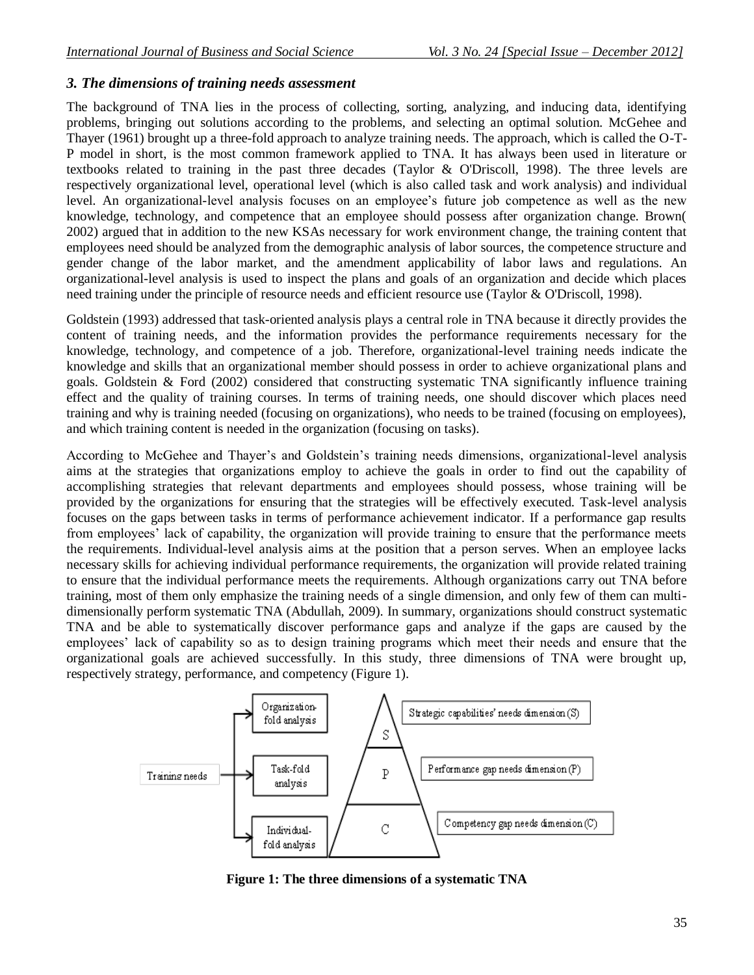## *3. The dimensions of training needs assessment*

The background of TNA lies in the process of collecting, sorting, analyzing, and inducing data, identifying problems, bringing out solutions according to the problems, and selecting an optimal solution. McGehee and Thayer (1961) brought up a three-fold approach to analyze training needs. The approach, which is called the O-T-P model in short, is the most common framework applied to TNA. It has always been used in literature or textbooks related to training in the past three decades (Taylor & O'Driscoll, 1998). The three levels are respectively organizational level, operational level (which is also called task and work analysis) and individual level. An organizational-level analysis focuses on an employee's future job competence as well as the new knowledge, technology, and competence that an employee should possess after organization change. Brown( 2002) argued that in addition to the new KSAs necessary for work environment change, the training content that employees need should be analyzed from the demographic analysis of labor sources, the competence structure and gender change of the labor market, and the amendment applicability of labor laws and regulations. An organizational-level analysis is used to inspect the plans and goals of an organization and decide which places need training under the principle of resource needs and efficient resource use (Taylor & O'Driscoll, 1998).

Goldstein (1993) addressed that task-oriented analysis plays a central role in TNA because it directly provides the content of training needs, and the information provides the performance requirements necessary for the knowledge, technology, and competence of a job. Therefore, organizational-level training needs indicate the knowledge and skills that an organizational member should possess in order to achieve organizational plans and goals. Goldstein  $\&$  Ford (2002) considered that constructing systematic TNA significantly influence training effect and the quality of training courses. In terms of training needs, one should discover which places need training and why is training needed (focusing on organizations), who needs to be trained (focusing on employees), and which training content is needed in the organization (focusing on tasks).

According to McGehee and Thayer's and Goldstein's training needs dimensions, organizational-level analysis aims at the strategies that organizations employ to achieve the goals in order to find out the capability of accomplishing strategies that relevant departments and employees should possess, whose training will be provided by the organizations for ensuring that the strategies will be effectively executed. Task-level analysis focuses on the gaps between tasks in terms of performance achievement indicator. If a performance gap results from employees' lack of capability, the organization will provide training to ensure that the performance meets the requirements. Individual-level analysis aims at the position that a person serves. When an employee lacks necessary skills for achieving individual performance requirements, the organization will provide related training to ensure that the individual performance meets the requirements. Although organizations carry out TNA before training, most of them only emphasize the training needs of a single dimension, and only few of them can multidimensionally perform systematic TNA (Abdullah, 2009). In summary, organizations should construct systematic TNA and be able to systematically discover performance gaps and analyze if the gaps are caused by the employees' lack of capability so as to design training programs which meet their needs and ensure that the organizational goals are achieved successfully. In this study, three dimensions of TNA were brought up, respectively strategy, performance, and competency (Figure 1).



**Figure 1: The three dimensions of a systematic TNA**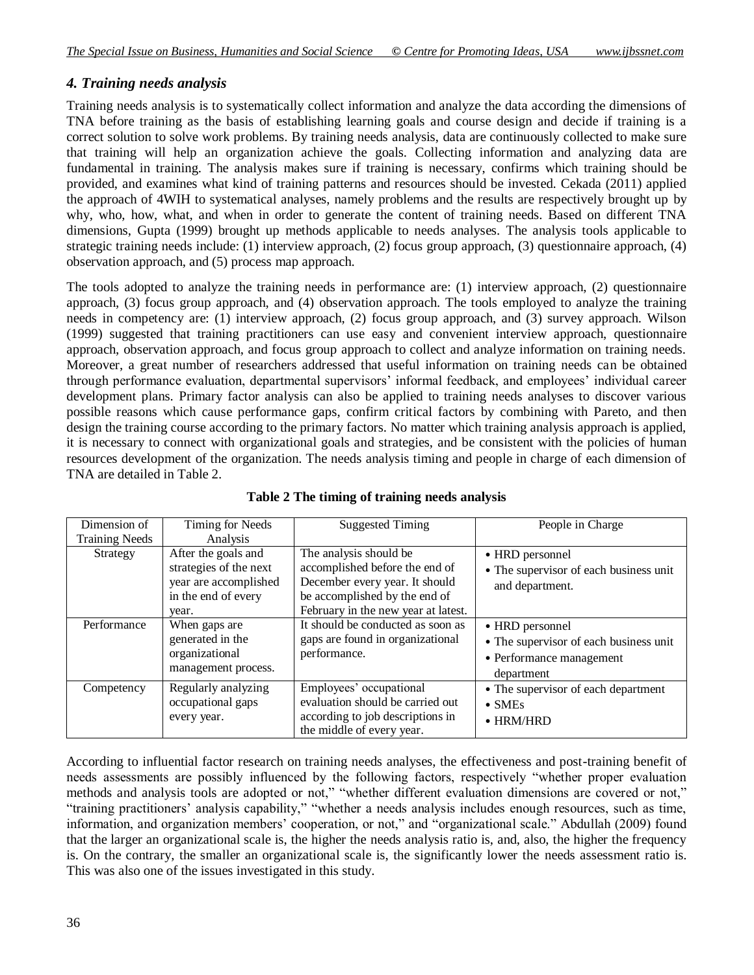### *4. Training needs analysis*

Training needs analysis is to systematically collect information and analyze the data according the dimensions of TNA before training as the basis of establishing learning goals and course design and decide if training is a correct solution to solve work problems. By training needs analysis, data are continuously collected to make sure that training will help an organization achieve the goals. Collecting information and analyzing data are fundamental in training. The analysis makes sure if training is necessary, confirms which training should be provided, and examines what kind of training patterns and resources should be invested. Cekada (2011) applied the approach of 4WIH to systematical analyses, namely problems and the results are respectively brought up by why, who, how, what, and when in order to generate the content of training needs. Based on different TNA dimensions, Gupta (1999) brought up methods applicable to needs analyses. The analysis tools applicable to strategic training needs include: (1) interview approach, (2) focus group approach, (3) questionnaire approach, (4) observation approach, and (5) process map approach.

The tools adopted to analyze the training needs in performance are: (1) interview approach, (2) questionnaire approach, (3) focus group approach, and (4) observation approach. The tools employed to analyze the training needs in competency are: (1) interview approach, (2) focus group approach, and (3) survey approach. Wilson (1999) suggested that training practitioners can use easy and convenient interview approach, questionnaire approach, observation approach, and focus group approach to collect and analyze information on training needs. Moreover, a great number of researchers addressed that useful information on training needs can be obtained through performance evaluation, departmental supervisors' informal feedback, and employees' individual career development plans. Primary factor analysis can also be applied to training needs analyses to discover various possible reasons which cause performance gaps, confirm critical factors by combining with Pareto, and then design the training course according to the primary factors. No matter which training analysis approach is applied, it is necessary to connect with organizational goals and strategies, and be consistent with the policies of human resources development of the organization. The needs analysis timing and people in charge of each dimension of TNA are detailed in Table 2.

| Dimension of          | <b>Timing for Needs</b>                                                                                | <b>Suggested Timing</b>                                                                                                                                            | People in Charge                                                                                    |
|-----------------------|--------------------------------------------------------------------------------------------------------|--------------------------------------------------------------------------------------------------------------------------------------------------------------------|-----------------------------------------------------------------------------------------------------|
| <b>Training Needs</b> | Analysis                                                                                               |                                                                                                                                                                    |                                                                                                     |
| Strategy              | After the goals and<br>strategies of the next<br>year are accomplished<br>in the end of every<br>year. | The analysis should be<br>accomplished before the end of<br>December every year. It should<br>be accomplished by the end of<br>February in the new year at latest. | • HRD personnel<br>• The supervisor of each business unit<br>and department.                        |
| Performance           | When gaps are<br>generated in the<br>organizational<br>management process.                             | It should be conducted as soon as<br>gaps are found in organizational<br>performance.                                                                              | • HRD personnel<br>• The supervisor of each business unit<br>• Performance management<br>department |
| Competency            | Regularly analyzing<br>occupational gaps<br>every year.                                                | Employees' occupational<br>evaluation should be carried out<br>according to job descriptions in<br>the middle of every year.                                       | • The supervisor of each department<br>$\bullet$ SMEs<br>$\bullet$ HRM/HRD                          |

**Table 2 The timing of training needs analysis**

According to influential factor research on training needs analyses, the effectiveness and post-training benefit of needs assessments are possibly influenced by the following factors, respectively "whether proper evaluation methods and analysis tools are adopted or not," "whether different evaluation dimensions are covered or not," "training practitioners' analysis capability," "whether a needs analysis includes enough resources, such as time, information, and organization members' cooperation, or not," and "organizational scale." Abdullah (2009) found that the larger an organizational scale is, the higher the needs analysis ratio is, and, also, the higher the frequency is. On the contrary, the smaller an organizational scale is, the significantly lower the needs assessment ratio is. This was also one of the issues investigated in this study.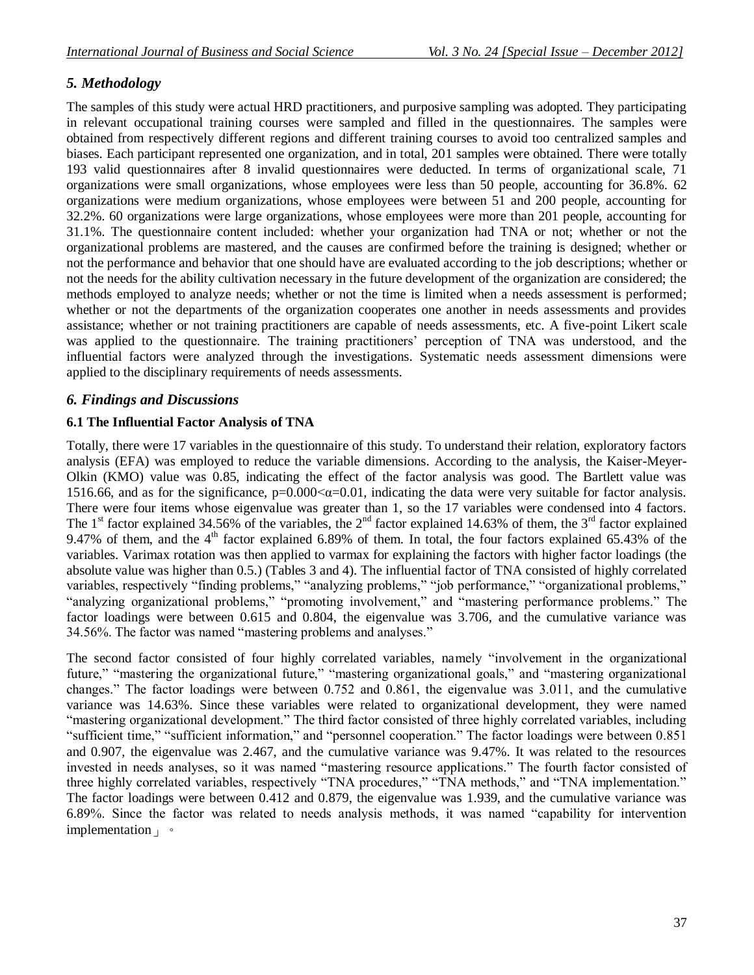### *5. Methodology*

The samples of this study were actual HRD practitioners, and purposive sampling was adopted. They participating in relevant occupational training courses were sampled and filled in the questionnaires. The samples were obtained from respectively different regions and different training courses to avoid too centralized samples and biases. Each participant represented one organization, and in total, 201 samples were obtained. There were totally 193 valid questionnaires after 8 invalid questionnaires were deducted. In terms of organizational scale, 71 organizations were small organizations, whose employees were less than 50 people, accounting for 36.8%. 62 organizations were medium organizations, whose employees were between 51 and 200 people, accounting for 32.2%. 60 organizations were large organizations, whose employees were more than 201 people, accounting for 31.1%. The questionnaire content included: whether your organization had TNA or not; whether or not the organizational problems are mastered, and the causes are confirmed before the training is designed; whether or not the performance and behavior that one should have are evaluated according to the job descriptions; whether or not the needs for the ability cultivation necessary in the future development of the organization are considered; the methods employed to analyze needs; whether or not the time is limited when a needs assessment is performed; whether or not the departments of the organization cooperates one another in needs assessments and provides assistance; whether or not training practitioners are capable of needs assessments, etc. A five-point Likert scale was applied to the questionnaire. The training practitioners' perception of TNA was understood, and the influential factors were analyzed through the investigations. Systematic needs assessment dimensions were applied to the disciplinary requirements of needs assessments.

### *6. Findings and Discussions*

#### **6.1 The Influential Factor Analysis of TNA**

Totally, there were 17 variables in the questionnaire of this study. To understand their relation, exploratory factors analysis (EFA) was employed to reduce the variable dimensions. According to the analysis, the Kaiser-Meyer-Olkin (KMO) value was 0.85, indicating the effect of the factor analysis was good. The Bartlett value was 1516.66, and as for the significance,  $p=0.000<\alpha=0.01$ , indicating the data were very suitable for factor analysis. There were four items whose eigenvalue was greater than 1, so the 17 variables were condensed into 4 factors. The 1<sup>st</sup> factor explained 34.56% of the variables, the 2<sup>nd</sup> factor explained 14.63% of them, the 3<sup>rd</sup> factor explained 9.47% of them, and the  $4<sup>th</sup>$  factor explained 6.89% of them. In total, the four factors explained 65.43% of the variables. Varimax rotation was then applied to varmax for explaining the factors with higher factor loadings (the absolute value was higher than 0.5.) (Tables 3 and 4). The influential factor of TNA consisted of highly correlated variables, respectively "finding problems," "analyzing problems," "job performance," "organizational problems," "analyzing organizational problems," "promoting involvement," and "mastering performance problems." The factor loadings were between 0.615 and 0.804, the eigenvalue was 3.706, and the cumulative variance was 34.56%. The factor was named "mastering problems and analyses."

The second factor consisted of four highly correlated variables, namely "involvement in the organizational future," "mastering the organizational future," "mastering organizational goals," and "mastering organizational changes." The factor loadings were between 0.752 and 0.861, the eigenvalue was 3.011, and the cumulative variance was 14.63%. Since these variables were related to organizational development, they were named "mastering organizational development." The third factor consisted of three highly correlated variables, including "sufficient time," "sufficient information," and "personnel cooperation." The factor loadings were between 0.851 and 0.907, the eigenvalue was 2.467, and the cumulative variance was 9.47%. It was related to the resources invested in needs analyses, so it was named "mastering resource applications." The fourth factor consisted of three highly correlated variables, respectively "TNA procedures," "TNA methods," and "TNA implementation." The factor loadings were between 0.412 and 0.879, the eigenvalue was 1.939, and the cumulative variance was 6.89%. Since the factor was related to needs analysis methods, it was named "capability for intervention implementation | 。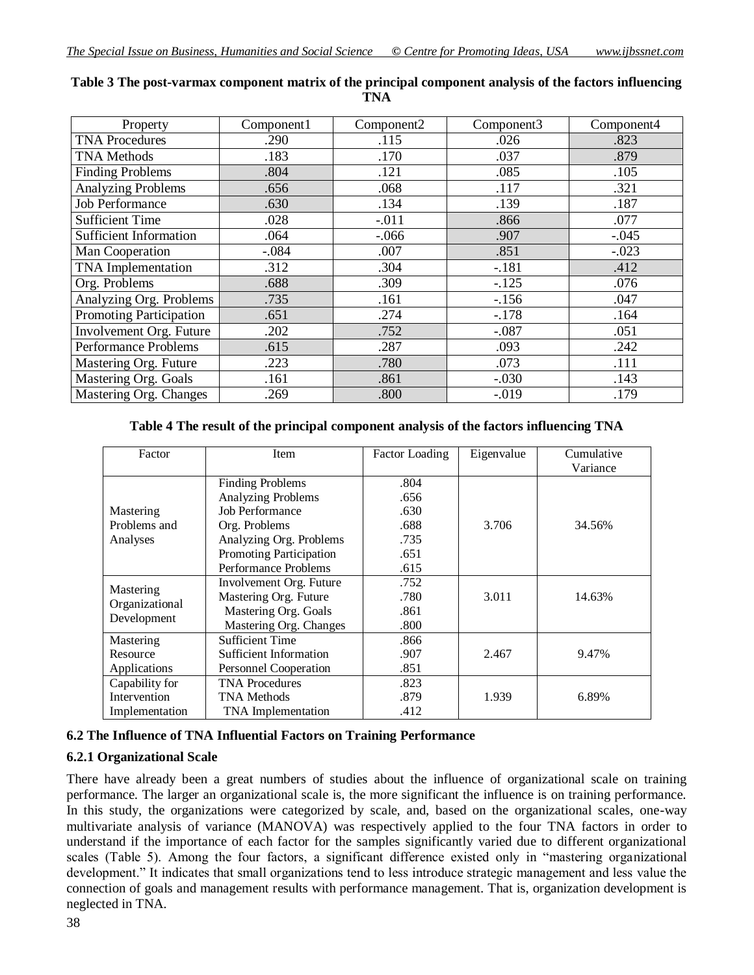| Property                      | Component1 | Component2 | Component3 | Component4 |
|-------------------------------|------------|------------|------------|------------|
| <b>TNA Procedures</b>         | .290       | .115       | .026       | .823       |
| <b>TNA Methods</b>            | .183       | .170       | .037       | .879       |
| <b>Finding Problems</b>       | .804       | .121       | .085       | .105       |
| <b>Analyzing Problems</b>     | .656       | .068       | .117       | .321       |
| <b>Job Performance</b>        | .630       | .134       | .139       | .187       |
| <b>Sufficient Time</b>        | .028       | $-0.011$   | .866       | .077       |
| <b>Sufficient Information</b> | .064       | $-0.066$   | .907       | $-.045$    |
| Man Cooperation               | $-.084$    | .007       | .851       | $-.023$    |
| <b>TNA</b> Implementation     | .312       | .304       | $-.181$    | .412       |
| Org. Problems                 | .688       | .309       | $-125$     | .076       |
| Analyzing Org. Problems       | .735       | .161       | $-.156$    | .047       |
| Promoting Participation       | .651       | .274       | $-.178$    | .164       |
| Involvement Org. Future       | .202       | .752       | $-.087$    | .051       |
| Performance Problems          | .615       | .287       | .093       | .242       |
| Mastering Org. Future         | .223       | .780       | .073       | .111       |
| Mastering Org. Goals          | .161       | .861       | $-.030$    | .143       |
| Mastering Org. Changes        | .269       | .800       | $-.019$    | .179       |

#### **Table 3 The post-varmax component matrix of the principal component analysis of the factors influencing TNA**

#### **Table 4 The result of the principal component analysis of the factors influencing TNA**

| Factor                      | <b>Item</b>               | Factor Loading | Eigenvalue | Cumulative |  |
|-----------------------------|---------------------------|----------------|------------|------------|--|
|                             |                           |                |            | Variance   |  |
|                             | <b>Finding Problems</b>   | .804           |            |            |  |
|                             | <b>Analyzing Problems</b> | .656           |            |            |  |
| Mastering                   | <b>Job Performance</b>    | .630           |            |            |  |
| Problems and                | Org. Problems             | .688           | 3.706      | 34.56%     |  |
| Analyses                    | Analyzing Org. Problems   | .735           |            |            |  |
|                             | Promoting Participation   | .651           |            |            |  |
|                             | Performance Problems      | .615           |            |            |  |
|                             | Involvement Org. Future   | .752           |            |            |  |
| Mastering<br>Organizational | Mastering Org. Future     | .780           | 3.011      | 14.63%     |  |
| Development                 | Mastering Org. Goals      | .861           |            |            |  |
|                             | Mastering Org. Changes    | .800           |            |            |  |
| Mastering                   | <b>Sufficient Time</b>    | .866           |            |            |  |
| Resource                    | Sufficient Information    | .907           | 2.467      | 9.47%      |  |
| Applications                | Personnel Cooperation     | .851           |            |            |  |
| Capability for              | <b>TNA Procedures</b>     | .823           |            |            |  |
| Intervention                | <b>TNA Methods</b>        | .879           | 1.939      | 6.89%      |  |
| Implementation              | <b>TNA</b> Implementation | .412           |            |            |  |

#### **6.2 The Influence of TNA Influential Factors on Training Performance**

#### **6.2.1 Organizational Scale**

There have already been a great numbers of studies about the influence of organizational scale on training performance. The larger an organizational scale is, the more significant the influence is on training performance. In this study, the organizations were categorized by scale, and, based on the organizational scales, one-way multivariate analysis of variance (MANOVA) was respectively applied to the four TNA factors in order to understand if the importance of each factor for the samples significantly varied due to different organizational scales (Table 5). Among the four factors, a significant difference existed only in "mastering organizational development." It indicates that small organizations tend to less introduce strategic management and less value the connection of goals and management results with performance management. That is, organization development is neglected in TNA.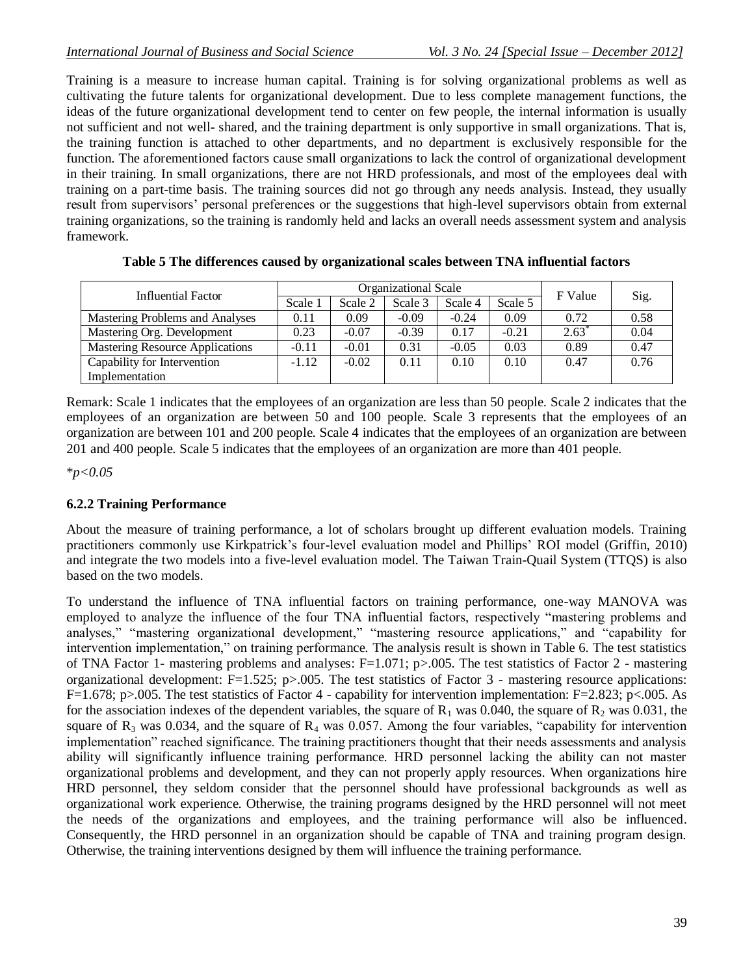Training is a measure to increase human capital. Training is for solving organizational problems as well as cultivating the future talents for organizational development. Due to less complete management functions, the ideas of the future organizational development tend to center on few people, the internal information is usually not sufficient and not well- shared, and the training department is only supportive in small organizations. That is, the training function is attached to other departments, and no department is exclusively responsible for the function. The aforementioned factors cause small organizations to lack the control of organizational development in their training. In small organizations, there are not HRD professionals, and most of the employees deal with training on a part-time basis. The training sources did not go through any needs analysis. Instead, they usually result from supervisors' personal preferences or the suggestions that high-level supervisors obtain from external training organizations, so the training is randomly held and lacks an overall needs assessment system and analysis framework.

| Influential Factor              | Organizational Scale |         |         |         |         | F Value          | Sig. |
|---------------------------------|----------------------|---------|---------|---------|---------|------------------|------|
|                                 | Scale 1              | Scale 2 | Scale 3 | Scale 4 | Scale 5 |                  |      |
| Mastering Problems and Analyses | 0.11                 | 0.09    | $-0.09$ | $-0.24$ | 0.09    | 0.72             | 0.58 |
| Mastering Org. Development      | 0.23                 | $-0.07$ | $-0.39$ | 0.17    | $-0.21$ | $2.63^{\degree}$ | 0.04 |
| Mastering Resource Applications | $-0.11$              | $-0.01$ | 0.31    | $-0.05$ | 0.03    | 0.89             | 0.47 |
| Capability for Intervention     | $-1.12$              | $-0.02$ | 0.11    | 0.10    | 0.10    | 0.47             | 0.76 |
| Implementation                  |                      |         |         |         |         |                  |      |

**Table 5 The differences caused by organizational scales between TNA influential factors**

Remark: Scale 1 indicates that the employees of an organization are less than 50 people. Scale 2 indicates that the employees of an organization are between 50 and 100 people. Scale 3 represents that the employees of an organization are between 101 and 200 people. Scale 4 indicates that the employees of an organization are between 201 and 400 people. Scale 5 indicates that the employees of an organization are more than 401 people.

\**p<0.05*

#### **6.2.2 Training Performance**

About the measure of training performance, a lot of scholars brought up different evaluation models. Training practitioners commonly use Kirkpatrick's four-level evaluation model and Phillips' ROI model (Griffin, 2010) and integrate the two models into a five-level evaluation model. The Taiwan Train-Quail System (TTQS) is also based on the two models.

To understand the influence of TNA influential factors on training performance, one-way MANOVA was employed to analyze the influence of the four TNA influential factors, respectively "mastering problems and analyses," "mastering organizational development," "mastering resource applications," and "capability for intervention implementation," on training performance. The analysis result is shown in Table 6. The test statistics of TNA Factor 1- mastering problems and analyses: F=1.071; p>.005. The test statistics of Factor 2 - mastering organizational development:  $F=1.525$ ; p $>0.005$ . The test statistics of Factor 3 - mastering resource applications: F=1.678; p>.005. The test statistics of Factor 4 - capability for intervention implementation: F=2.823; p<.005. As for the association indexes of the dependent variables, the square of  $R_1$  was 0.040, the square of  $R_2$  was 0.031, the square of  $R_3$  was 0.034, and the square of  $R_4$  was 0.057. Among the four variables, "capability for intervention implementation" reached significance. The training practitioners thought that their needs assessments and analysis ability will significantly influence training performance. HRD personnel lacking the ability can not master organizational problems and development, and they can not properly apply resources. When organizations hire HRD personnel, they seldom consider that the personnel should have professional backgrounds as well as organizational work experience. Otherwise, the training programs designed by the HRD personnel will not meet the needs of the organizations and employees, and the training performance will also be influenced. Consequently, the HRD personnel in an organization should be capable of TNA and training program design. Otherwise, the training interventions designed by them will influence the training performance.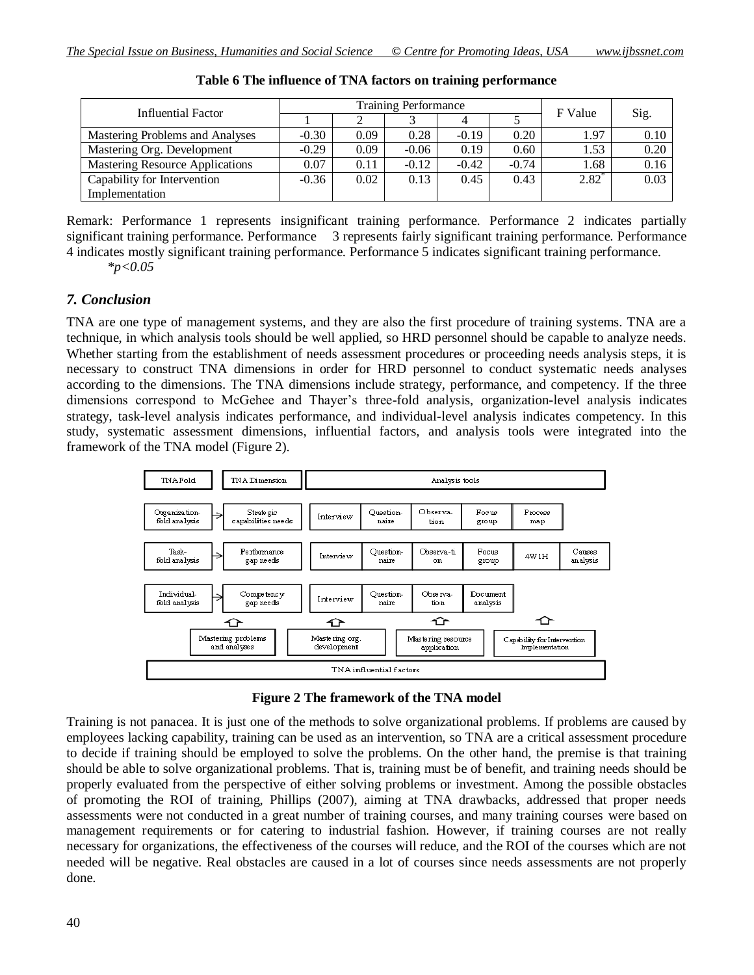| Influential Factor                     | <b>Training Performance</b> |      |         |         |         | F Value          |      |
|----------------------------------------|-----------------------------|------|---------|---------|---------|------------------|------|
|                                        |                             |      |         |         |         |                  | Sig. |
| Mastering Problems and Analyses        | $-0.30$                     | 0.09 | 0.28    | $-0.19$ | 0.20    | 1.97             | 0.10 |
| Mastering Org. Development             | $-0.29$                     | 0.09 | $-0.06$ | 0.19    | 0.60    | 1.53             | 0.20 |
| <b>Mastering Resource Applications</b> | 0.07                        | 0.11 | $-0.12$ | $-0.42$ | $-0.74$ | 1.68             | 0.16 |
| Capability for Intervention            | $-0.36$                     | 0.02 | 0.13    | 0.45    | 0.43    | $2.82^{\degree}$ | 0.03 |
| Implementation                         |                             |      |         |         |         |                  |      |

Remark: Performance 1 represents insignificant training performance. Performance 2 indicates partially significant training performance. Performance 3 represents fairly significant training performance. Performance 4 indicates mostly significant training performance. Performance 5 indicates significant training performance.

*\*p<0.05*

#### *7. Conclusion*

TNA are one type of management systems, and they are also the first procedure of training systems. TNA are a technique, in which analysis tools should be well applied, so HRD personnel should be capable to analyze needs. Whether starting from the establishment of needs assessment procedures or proceeding needs analysis steps, it is necessary to construct TNA dimensions in order for HRD personnel to conduct systematic needs analyses according to the dimensions. The TNA dimensions include strategy, performance, and competency. If the three dimensions correspond to McGehee and Thayer's three-fold analysis, organization-level analysis indicates strategy, task-level analysis indicates performance, and individual-level analysis indicates competency. In this study, systematic assessment dimensions, influential factors, and analysis tools were integrated into the framework of the TNA model (Figure 2).



**Figure 2 The framework of the TNA model**

Training is not panacea. It is just one of the methods to solve organizational problems. If problems are caused by employees lacking capability, training can be used as an intervention, so TNA are a critical assessment procedure to decide if training should be employed to solve the problems. On the other hand, the premise is that training should be able to solve organizational problems. That is, training must be of benefit, and training needs should be properly evaluated from the perspective of either solving problems or investment. Among the possible obstacles of promoting the ROI of training, Phillips (2007), aiming at TNA drawbacks, addressed that proper needs assessments were not conducted in a great number of training courses, and many training courses were based on management requirements or for catering to industrial fashion. However, if training courses are not really necessary for organizations, the effectiveness of the courses will reduce, and the ROI of the courses which are not needed will be negative. Real obstacles are caused in a lot of courses since needs assessments are not properly done.